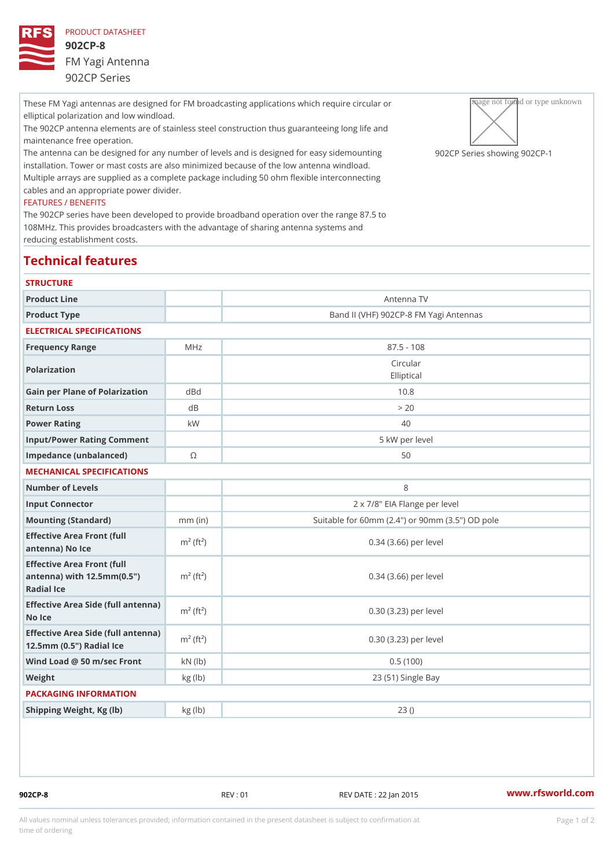These FM Yagi antennas are designed for FM broadcasting applications which preparing the circular own elliptical polarization and low windload. The 902CP antenna elements are of stainless steel construction thus guaranteeing ong life and maintenance free operation. The antenna can be designed for any number of levels and is designed9 Of  $aC$  PaSs grised esmhonuwnining  $g902$  (CP – installation. Tower or mast costs are also minimized because of the low antenna windload.

Multiple arrays are supplied as a complete package including 50 ohm flexible interconnecting cables and an appropriate power divider.

## FEATURES / BENEFITS

The 902CP series have been developed to provide broadband operation over the range 87.5 to 108MHz. This provides broadcasters with the advantage of sharing antenna systems and reducing establishment costs.

## Technical features

| <b>STRUCTURE</b>                                                                                                   |                          |                                                 |
|--------------------------------------------------------------------------------------------------------------------|--------------------------|-------------------------------------------------|
| Product Line                                                                                                       |                          | Antenna TV                                      |
| Product Type                                                                                                       |                          | Band II (VHF) 902CP-8 FM Yagi Antennas          |
| ELECTRICAL SPECIFICATIONS                                                                                          |                          |                                                 |
| Frequency Range                                                                                                    | M H z                    | $87.5 - 108$                                    |
| Polarization                                                                                                       |                          | Circular<br>Elliptical                          |
| Gain per Plane of Polarizat doBnd                                                                                  |                          | 10.8                                            |
| Return Loss                                                                                                        | d B                      | > 20                                            |
| Power Rating                                                                                                       | k W                      | 40                                              |
| Input/Power Rating Comment                                                                                         |                          | 5 kW per level                                  |
| Impedance (unbalanced)                                                                                             | $\circledcirc$           | 50                                              |
| MECHANICAL SPECIFICATIONS                                                                                          |                          |                                                 |
| Number of Levels                                                                                                   |                          | 8                                               |
| Input Connector                                                                                                    |                          | 2 x 7/8" EIA Flange per level                   |
| Mounting (Standard)                                                                                                | $mm$ (in)                | Suitable for 60mm (2.4") or 90mm (3.5") OD pole |
| Effective Area Front (full<br>antenna) No Ice                                                                      | $m^2$ (ft <sup>2</sup> ) | 0.34 (3.66) per level                           |
| Effective Area Front (full<br>antenna) with $12.5$ mm $(0.5$ " $\pi$ <sup>2</sup> (ft <sup>2</sup> )<br>Radial Ice |                          | $0.34$ $(3.66)$ per level                       |
| Effective Area Side (full antenna)<br>No Ice                                                                       |                          | 0.30 (3.23) per level                           |
| Effective Area Side (full antenna)<br>12.5mm (0.5") Radial Ice                                                     |                          | 0.30 (3.23) per level                           |
| Wind Load @ 50 m/sec $\lceil \text{rokn (lb)} \rceil$                                                              |                          | 0.5(100)                                        |
| Weight                                                                                                             | kg (lb)                  | 23 (51) Single Bay                              |
| PACKAGING INFORMATION                                                                                              |                          |                                                 |
| Shipping Weight, Kg (lb)                                                                                           | kg(lb)                   | 23()                                            |
|                                                                                                                    |                          |                                                 |

902CP-8 REV : 01 REV DATE : 22 Jan 2015 [www.](https://www.rfsworld.com)rfsworld.com